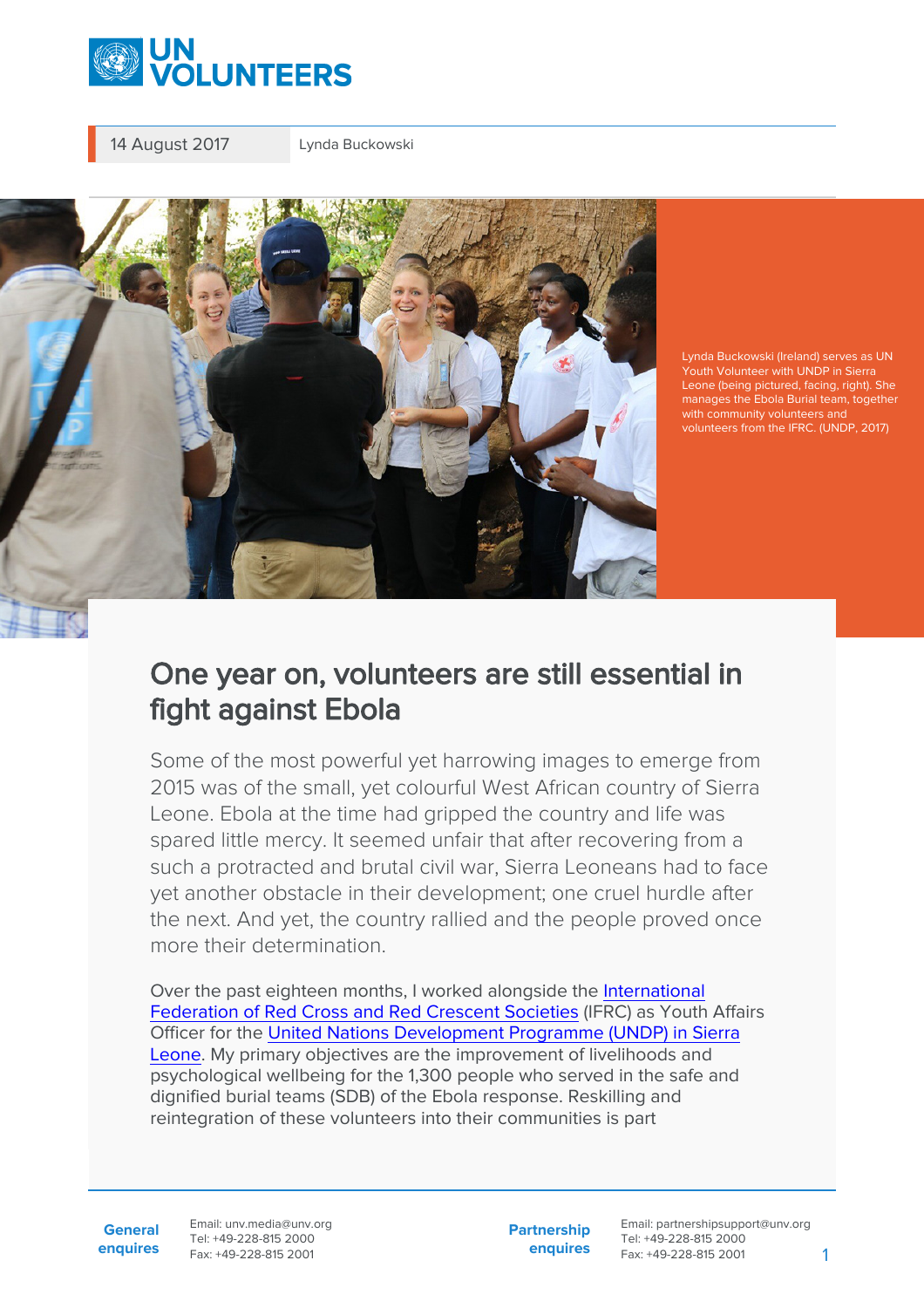

14 August 2017 Lynda Buckowski



Lynda Buckowski (Ireland) serves as UN Youth Volunteer with UNDP in Sierra Leone (being pictured, facing, right). She manages the Ebola Burial team, together with community volunteers and volunteers from the IFRC. (UNDP, 2017)

## One year on, volunteers are still essential in fight against Ebola

Some of the most powerful yet harrowing images to emerge from 2015 was of the small, yet colourful West African country of Sierra Leone. Ebola at the time had gripped the country and life was spared little mercy. It seemed unfair that after recovering from a such a protracted and brutal civil war, Sierra Leoneans had to face yet another obstacle in their development; one cruel hurdle after the next. And yet, the country rallied and the people proved once more their determination.

Over the past eighteen months, I worked alongside the [International](https://www.ifrc.org/en/what-we-do/where-we-work/africa/sierra-leone-red-cross-society/) [Federation of Red Cross and Red Crescent Societies](https://www.ifrc.org/en/what-we-do/where-we-work/africa/sierra-leone-red-cross-society/) (IFRC) as Youth Affairs Officer for the [United Nations Development Programme \(UNDP\) in Sierra](http://www.sl.undp.org/) [Leone](http://www.sl.undp.org/). My primary objectives are the improvement of livelihoods and psychological wellbeing for the 1,300 people who served in the safe and dignified burial teams (SDB) of the Ebola response. Reskilling and reintegration of these volunteers into their communities is part

**General enquires** Email: unv.media@unv.org Tel: +49-228-815 2000 Fax: +49-228-815 2001

**Partnership enquires** Email: partnershipsupport@unv.org Tel: +49-228-815 2000 Fax: +49-228-815 2001 1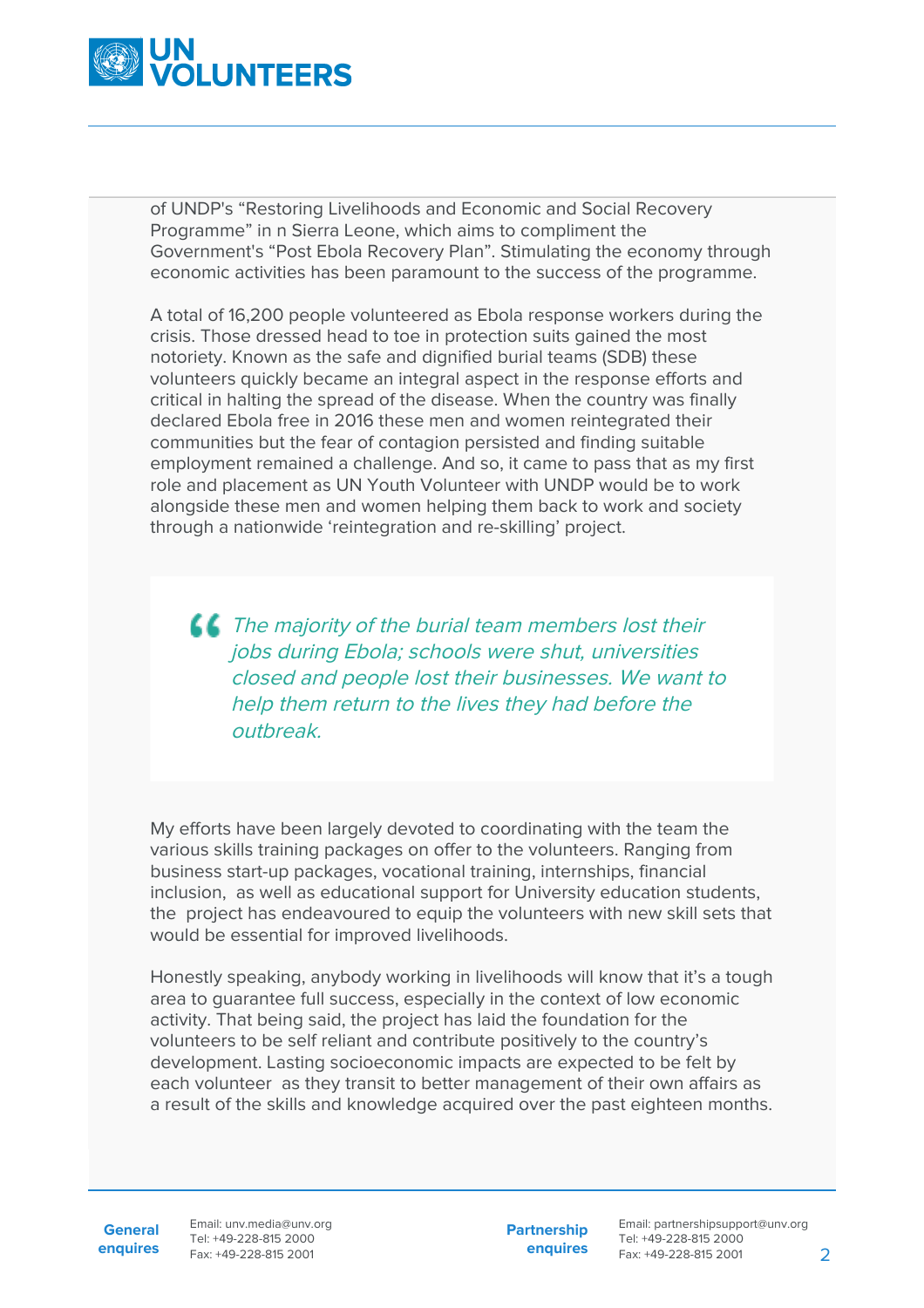

of UNDP's "Restoring Livelihoods and Economic and Social Recovery Programme" in n Sierra Leone, which aims to compliment the Government's "Post Ebola Recovery Plan". Stimulating the economy through economic activities has been paramount to the success of the programme.

A total of 16,200 people volunteered as Ebola response workers during the crisis. Those dressed head to toe in protection suits gained the most notoriety. Known as the safe and dignified burial teams (SDB) these volunteers quickly became an integral aspect in the response efforts and critical in halting the spread of the disease. When the country was finally declared Ebola free in 2016 these men and women reintegrated their communities but the fear of contagion persisted and finding suitable employment remained a challenge. And so, it came to pass that as my first role and placement as UN Youth Volunteer with UNDP would be to work alongside these men and women helping them back to work and society through a nationwide 'reintegration and re-skilling' project.

**CO** The majority of the burial team members lost their jobs during Ebola; schools were shut, universities closed and people lost their businesses. We want to help them return to the lives they had before the outbreak.

My efforts have been largely devoted to coordinating with the team the various skills training packages on offer to the volunteers. Ranging from business start-up packages, vocational training, internships, financial inclusion, as well as educational support for University education students, the project has endeavoured to equip the volunteers with new skill sets that would be essential for improved livelihoods.

Honestly speaking, anybody working in livelihoods will know that it's a tough area to guarantee full success, especially in the context of low economic activity. That being said, the project has laid the foundation for the volunteers to be self reliant and contribute positively to the country's development. Lasting socioeconomic impacts are expected to be felt by each volunteer as they transit to better management of their own affairs as a result of the skills and knowledge acquired over the past eighteen months.

General Email: unv.media@unv.org **enquires** Fax: +49-228-815 2001 Tel: +49-228-815 2000

**Partnership enquires**

Email: partnershipsupport@unv.org Tel: +49-228-815 2000 Fax: +49-228-815 2001 2